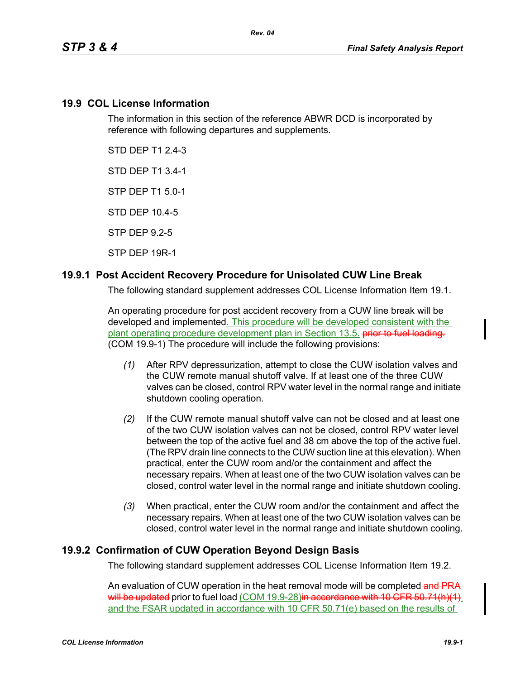#### **19.9 COL License Information**

The information in this section of the reference ABWR DCD is incorporated by reference with following departures and supplements.

STD DEP T1 2.4-3

STD DEP T1 3.4-1

STP DEP T1 5.0-1

STD DEP 10.4-5

STP DEP 9.2-5

STP DEP 19R-1

#### **19.9.1 Post Accident Recovery Procedure for Unisolated CUW Line Break**

The following standard supplement addresses COL License Information Item 19.1.

An operating procedure for post accident recovery from a CUW line break will be developed and implemented. This procedure will be developed consistent with the plant operating procedure development plan in Section 13.5. **prior to fuel loading.** (COM 19.9-1) The procedure will include the following provisions:

- *(1)* After RPV depressurization, attempt to close the CUW isolation valves and the CUW remote manual shutoff valve. If at least one of the three CUW valves can be closed, control RPV water level in the normal range and initiate shutdown cooling operation.
- *(2)* If the CUW remote manual shutoff valve can not be closed and at least one of the two CUW isolation valves can not be closed, control RPV water level between the top of the active fuel and 38 cm above the top of the active fuel. (The RPV drain line connects to the CUW suction line at this elevation). When practical, enter the CUW room and/or the containment and affect the necessary repairs. When at least one of the two CUW isolation valves can be closed, control water level in the normal range and initiate shutdown cooling.
- *(3)* When practical, enter the CUW room and/or the containment and affect the necessary repairs. When at least one of the two CUW isolation valves can be closed, control water level in the normal range and initiate shutdown cooling.

## **19.9.2 Confirmation of CUW Operation Beyond Design Basis**

The following standard supplement addresses COL License Information Item 19.2.

An evaluation of CUW operation in the heat removal mode will be completed-and PRAwill be updated prior to fuel load (COM 19.9-28) in accordance with 10 CFR 50.71(h)(1) and the FSAR updated in accordance with 10 CFR 50.71(e) based on the results of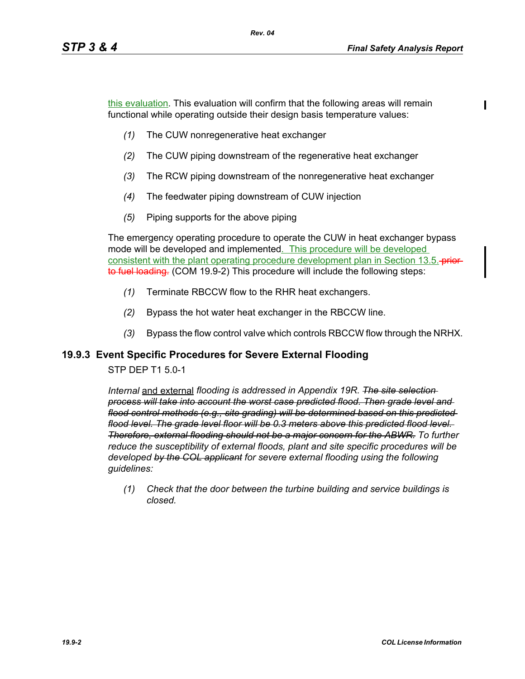this evaluation. This evaluation will confirm that the following areas will remain functional while operating outside their design basis temperature values:

- *(1)* The CUW nonregenerative heat exchanger
- *(2)* The CUW piping downstream of the regenerative heat exchanger
- *(3)* The RCW piping downstream of the nonregenerative heat exchanger
- *(4)* The feedwater piping downstream of CUW injection
- *(5)* Piping supports for the above piping

The emergency operating procedure to operate the CUW in heat exchanger bypass mode will be developed and implemented. This procedure will be developed consistent with the plant operating procedure development plan in Section 13.5. **-prior**to fuel loading. (COM 19.9-2) This procedure will include the following steps:

- *(1)* Terminate RBCCW flow to the RHR heat exchangers.
- *(2)* Bypass the hot water heat exchanger in the RBCCW line.
- *(3)* Bypass the flow control valve which controls RBCCW flow through the NRHX.

## **19.9.3 Event Specific Procedures for Severe External Flooding**

#### STP DEP T1 5.0-1

*Internal* and external *flooding is addressed in Appendix 19R. The site selection process will take into account the worst case predicted flood. Then grade level and flood control methods (e.g., site grading) will be determined based on this predicted flood level. The grade level floor will be 0.3 meters above this predicted flood level. Therefore, external flooding should not be a major concern for the ABWR. To further reduce the susceptibility of external floods, plant and site specific procedures will be developed by the COL applicant for severe external flooding using the following guidelines:* 

*(1) Check that the door between the turbine building and service buildings is closed.*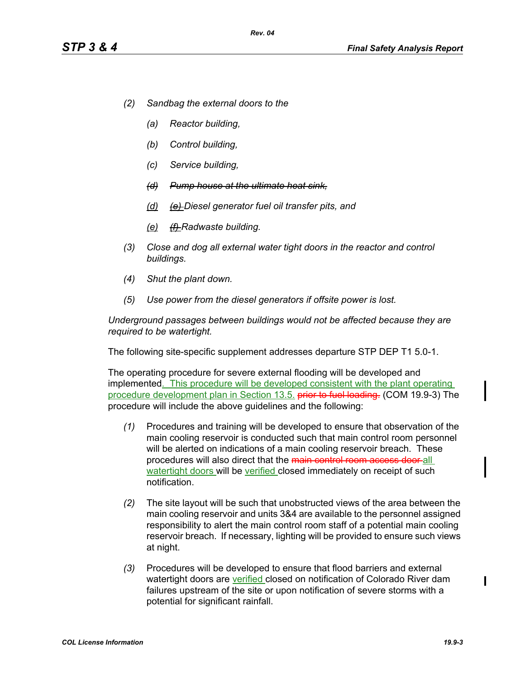- *(2) Sandbag the external doors to the*
	- *(a) Reactor building,*
	- *(b) Control building,*
	- *(c) Service building,*
	- *(d) Pump house at the ultimate heat sink,*
	- *(d) (e) Diesel generator fuel oil transfer pits, and*
	- *(e) (f) Radwaste building.*
- *(3) Close and dog all external water tight doors in the reactor and control buildings.*
- *(4) Shut the plant down.*
- *(5) Use power from the diesel generators if offsite power is lost.*

*Underground passages between buildings would not be affected because they are required to be watertight.*

The following site-specific supplement addresses departure STP DEP T1 5.0-1.

The operating procedure for severe external flooding will be developed and implemented. This procedure will be developed consistent with the plant operating procedure development plan in Section 13.5. **prior to fuel loading.** (COM 19.9-3) The procedure will include the above guidelines and the following:

- *(1)* Procedures and training will be developed to ensure that observation of the main cooling reservoir is conducted such that main control room personnel will be alerted on indications of a main cooling reservoir breach. These procedures will also direct that the main control room access door all watertight doors will be verified closed immediately on receipt of such notification.
- *(2)* The site layout will be such that unobstructed views of the area between the main cooling reservoir and units 3&4 are available to the personnel assigned responsibility to alert the main control room staff of a potential main cooling reservoir breach. If necessary, lighting will be provided to ensure such views at night.
- *(3)* Procedures will be developed to ensure that flood barriers and external watertight doors are verified closed on notification of Colorado River dam failures upstream of the site or upon notification of severe storms with a potential for significant rainfall.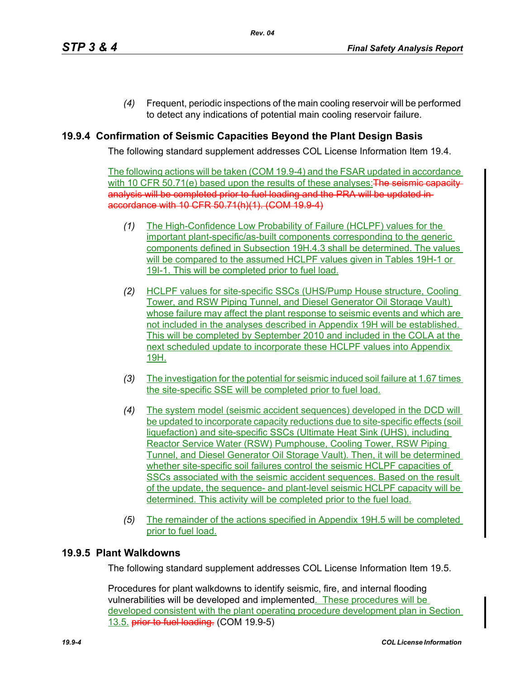*(4)* Frequent, periodic inspections of the main cooling reservoir will be performed to detect any indications of potential main cooling reservoir failure.

## **19.9.4 Confirmation of Seismic Capacities Beyond the Plant Design Basis**

The following standard supplement addresses COL License Information Item 19.4.

The following actions will be taken (COM 19.9-4) and the FSAR updated in accordance with 10 CFR 50.71(e) based upon the results of these analyses: **The seismic capacity** analysis will be completed prior to fuel loading and the PRA will be updated in accordance with 10 CFR 50.71(h)(1). (COM 19.9-4)

- *(1)* The High-Confidence Low Probability of Failure (HCLPF) values for the important plant-specific/as-built components corresponding to the generic components defined in Subsection 19H.4.3 shall be determined. The values will be compared to the assumed HCLPF values given in Tables 19H-1 or 19I-1. This will be completed prior to fuel load.
- *(2)* HCLPF values for site-specific SSCs (UHS/Pump House structure, Cooling Tower, and RSW Piping Tunnel, and Diesel Generator Oil Storage Vault) whose failure may affect the plant response to seismic events and which are not included in the analyses described in Appendix 19H will be established. This will be completed by September 2010 and included in the COLA at the next scheduled update to incorporate these HCLPF values into Appendix 19H.
- *(3)* The investigation for the potential for seismic induced soil failure at 1.67 times the site-specific SSE will be completed prior to fuel load.
- *(4)* The system model (seismic accident sequences) developed in the DCD will be updated to incorporate capacity reductions due to site-specific effects (soil liquefaction) and site-specific SSCs (Ultimate Heat Sink (UHS), including Reactor Service Water (RSW) Pumphouse, Cooling Tower, RSW Piping Tunnel, and Diesel Generator Oil Storage Vault). Then, it will be determined whether site-specific soil failures control the seismic HCLPF capacities of SSCs associated with the seismic accident sequences. Based on the result of the update, the sequence- and plant-level seismic HCLPF capacity will be determined. This activity will be completed prior to the fuel load.
- *(5)* The remainder of the actions specified in Appendix 19H.5 will be completed prior to fuel load.

#### **19.9.5 Plant Walkdowns**

The following standard supplement addresses COL License Information Item 19.5.

Procedures for plant walkdowns to identify seismic, fire, and internal flooding vulnerabilities will be developed and implemented. These procedures will be developed consistent with the plant operating procedure development plan in Section 13.5. prior to fuel loading. (COM 19.9-5)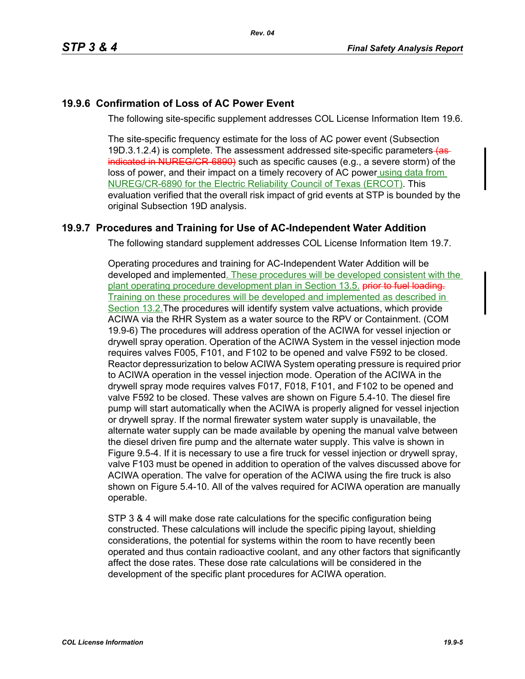# **19.9.6 Confirmation of Loss of AC Power Event**

The following site-specific supplement addresses COL License Information Item 19.6.

The site-specific frequency estimate for the loss of AC power event (Subsection 19D.3.1.2.4) is complete. The assessment addressed site-specific parameters (asindicated in NUREG/CR-6890) such as specific causes (e.g., a severe storm) of the loss of power, and their impact on a timely recovery of AC power using data from NUREG/CR-6890 for the Electric Reliability Council of Texas (ERCOT). This evaluation verified that the overall risk impact of grid events at STP is bounded by the original Subsection 19D analysis.

# **19.9.7 Procedures and Training for Use of AC-Independent Water Addition**

The following standard supplement addresses COL License Information Item 19.7.

Operating procedures and training for AC-Independent Water Addition will be developed and implemented. These procedures will be developed consistent with the plant operating procedure development plan in Section 13.5. prior to fuel loading. Training on these procedures will be developed and implemented as described in Section 13.2.The procedures will identify system valve actuations, which provide ACIWA via the RHR System as a water source to the RPV or Containment. (COM 19.9-6) The procedures will address operation of the ACIWA for vessel injection or drywell spray operation. Operation of the ACIWA System in the vessel injection mode requires valves F005, F101, and F102 to be opened and valve F592 to be closed. Reactor depressurization to below ACIWA System operating pressure is required prior to ACIWA operation in the vessel injection mode. Operation of the ACIWA in the drywell spray mode requires valves F017, F018, F101, and F102 to be opened and valve F592 to be closed. These valves are shown on Figure 5.4-10. The diesel fire pump will start automatically when the ACIWA is properly aligned for vessel injection or drywell spray. If the normal firewater system water supply is unavailable, the alternate water supply can be made available by opening the manual valve between the diesel driven fire pump and the alternate water supply. This valve is shown in Figure 9.5-4. If it is necessary to use a fire truck for vessel injection or drywell spray, valve F103 must be opened in addition to operation of the valves discussed above for ACIWA operation. The valve for operation of the ACIWA using the fire truck is also shown on Figure 5.4-10. All of the valves required for ACIWA operation are manually operable.

STP 3 & 4 will make dose rate calculations for the specific configuration being constructed. These calculations will include the specific piping layout, shielding considerations, the potential for systems within the room to have recently been operated and thus contain radioactive coolant, and any other factors that significantly affect the dose rates. These dose rate calculations will be considered in the development of the specific plant procedures for ACIWA operation.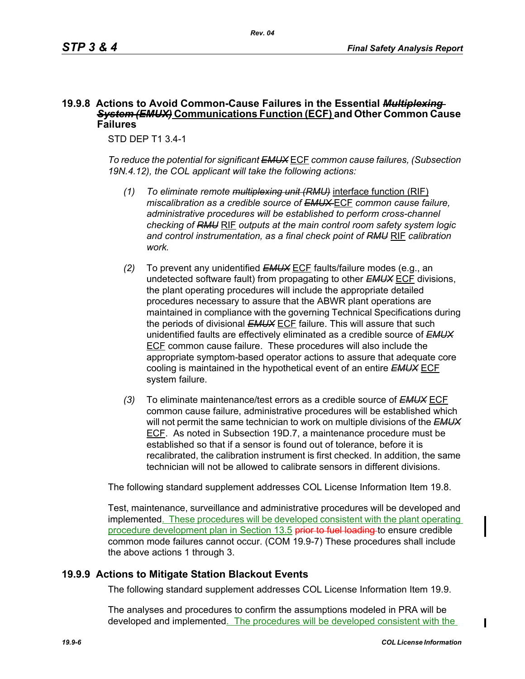#### **19.9.8 Actions to Avoid Common-Cause Failures in the Essential** *Multiplexing System (EMUX)* **Communications Function (ECF) and Other Common Cause Failures**

STD DEP T1 3.4-1

*To reduce the potential for significant EMUX* ECF *common cause failures, (Subsection 19N.4.12), the COL applicant will take the following actions:*

- *(1) To eliminate remote multiplexing unit (RMU)* interface function (RIF) *miscalibration as a credible source of EMUX* ECF *common cause failure, administrative procedures will be established to perform cross-channel checking of RMU* RIF *outputs at the main control room safety system logic and control instrumentation, as a final check point of RMU* RIF *calibration work.*
- *(2)* To prevent any unidentified *EMUX* ECF faults/failure modes (e.g., an undetected software fault) from propagating to other *EMUX* ECF divisions, the plant operating procedures will include the appropriate detailed procedures necessary to assure that the ABWR plant operations are maintained in compliance with the governing Technical Specifications during the periods of divisional *EMUX* ECF failure. This will assure that such unidentified faults are effectively eliminated as a credible source of *EMUX* ECF common cause failure. These procedures will also include the appropriate symptom-based operator actions to assure that adequate core cooling is maintained in the hypothetical event of an entire *EMUX* ECF system failure.
- *(3)* To eliminate maintenance/test errors as a credible source of *EMUX* ECF common cause failure, administrative procedures will be established which will not permit the same technician to work on multiple divisions of the *EMUX* ECF. As noted in Subsection 19D.7, a maintenance procedure must be established so that if a sensor is found out of tolerance, before it is recalibrated, the calibration instrument is first checked. In addition, the same technician will not be allowed to calibrate sensors in different divisions.

The following standard supplement addresses COL License Information Item 19.8.

Test, maintenance, surveillance and administrative procedures will be developed and implemented. These procedures will be developed consistent with the plant operating procedure development plan in Section 13.5 prior to fuel loading to ensure credible common mode failures cannot occur. (COM 19.9-7) These procedures shall include the above actions 1 through 3.

## **19.9.9 Actions to Mitigate Station Blackout Events**

The following standard supplement addresses COL License Information Item 19.9.

The analyses and procedures to confirm the assumptions modeled in PRA will be developed and implemented. The procedures will be developed consistent with the

 $\blacksquare$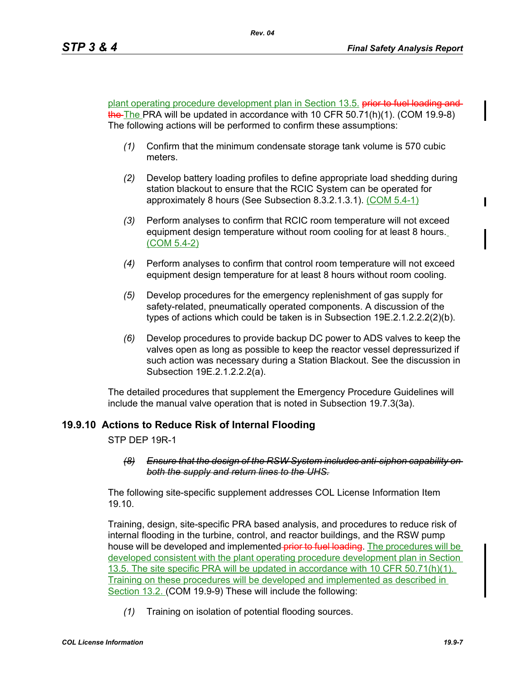plant operating procedure development plan in Section 13.5. prior to fuel loading and the The PRA will be updated in accordance with 10 CFR 50.71(h)(1). (COM 19.9-8) The following actions will be performed to confirm these assumptions:

- *(1)* Confirm that the minimum condensate storage tank volume is 570 cubic meters.
- *(2)* Develop battery loading profiles to define appropriate load shedding during station blackout to ensure that the RCIC System can be operated for approximately 8 hours (See Subsection 8.3.2.1.3.1). (COM 5.4-1)
- *(3)* Perform analyses to confirm that RCIC room temperature will not exceed equipment design temperature without room cooling for at least 8 hours. (COM 5.4-2)
- *(4)* Perform analyses to confirm that control room temperature will not exceed equipment design temperature for at least 8 hours without room cooling.
- *(5)* Develop procedures for the emergency replenishment of gas supply for safety-related, pneumatically operated components. A discussion of the types of actions which could be taken is in Subsection 19E.2.1.2.2.2(2)(b).
- *(6)* Develop procedures to provide backup DC power to ADS valves to keep the valves open as long as possible to keep the reactor vessel depressurized if such action was necessary during a Station Blackout. See the discussion in Subsection 19E.2.1.2.2.2(a).

The detailed procedures that supplement the Emergency Procedure Guidelines will include the manual valve operation that is noted in Subsection 19.7.3(3a).

## **19.9.10 Actions to Reduce Risk of Internal Flooding**

STP DEP 19R-1

#### *(8) Ensure that the design of the RSW System includes anti-siphon capability on both the supply and return lines to the UHS.*

The following site-specific supplement addresses COL License Information Item 19.10.

Training, design, site-specific PRA based analysis, and procedures to reduce risk of internal flooding in the turbine, control, and reactor buildings, and the RSW pump house will be developed and implemented-prior to fuel loading. The procedures will be developed consistent with the plant operating procedure development plan in Section 13.5. The site specific PRA will be updated in accordance with 10 CFR 50.71(h)(1). Training on these procedures will be developed and implemented as described in Section 13.2. (COM 19.9-9) These will include the following:

*(1)* Training on isolation of potential flooding sources.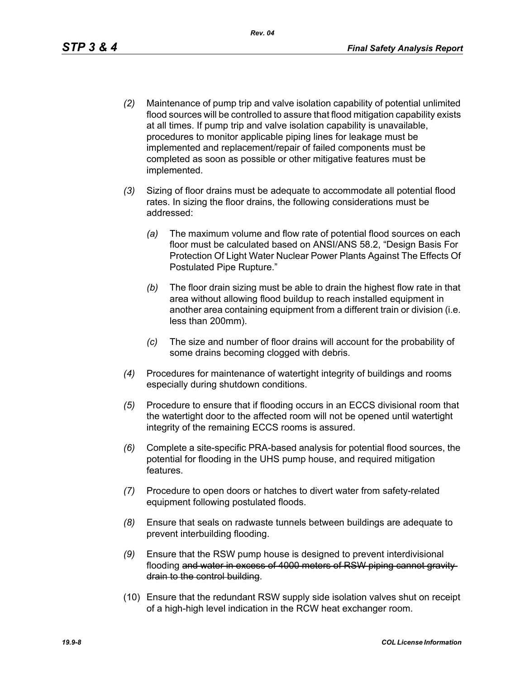- *(2)* Maintenance of pump trip and valve isolation capability of potential unlimited flood sources will be controlled to assure that flood mitigation capability exists at all times. If pump trip and valve isolation capability is unavailable, procedures to monitor applicable piping lines for leakage must be implemented and replacement/repair of failed components must be completed as soon as possible or other mitigative features must be implemented.
- *(3)* Sizing of floor drains must be adequate to accommodate all potential flood rates. In sizing the floor drains, the following considerations must be addressed:
	- *(a)* The maximum volume and flow rate of potential flood sources on each floor must be calculated based on ANSI/ANS 58.2, "Design Basis For Protection Of Light Water Nuclear Power Plants Against The Effects Of Postulated Pipe Rupture."
	- *(b)* The floor drain sizing must be able to drain the highest flow rate in that area without allowing flood buildup to reach installed equipment in another area containing equipment from a different train or division (i.e. less than 200mm).
	- *(c)* The size and number of floor drains will account for the probability of some drains becoming clogged with debris.
- *(4)* Procedures for maintenance of watertight integrity of buildings and rooms especially during shutdown conditions.
- *(5)* Procedure to ensure that if flooding occurs in an ECCS divisional room that the watertight door to the affected room will not be opened until watertight integrity of the remaining ECCS rooms is assured.
- *(6)* Complete a site-specific PRA-based analysis for potential flood sources, the potential for flooding in the UHS pump house, and required mitigation features.
- *(7)* Procedure to open doors or hatches to divert water from safety-related equipment following postulated floods.
- *(8)* Ensure that seals on radwaste tunnels between buildings are adequate to prevent interbuilding flooding.
- *(9)* Ensure that the RSW pump house is designed to prevent interdivisional flooding and water in excess of 4000 meters of RSW piping cannot gravity drain to the control building.
- (10) Ensure that the redundant RSW supply side isolation valves shut on receipt of a high-high level indication in the RCW heat exchanger room.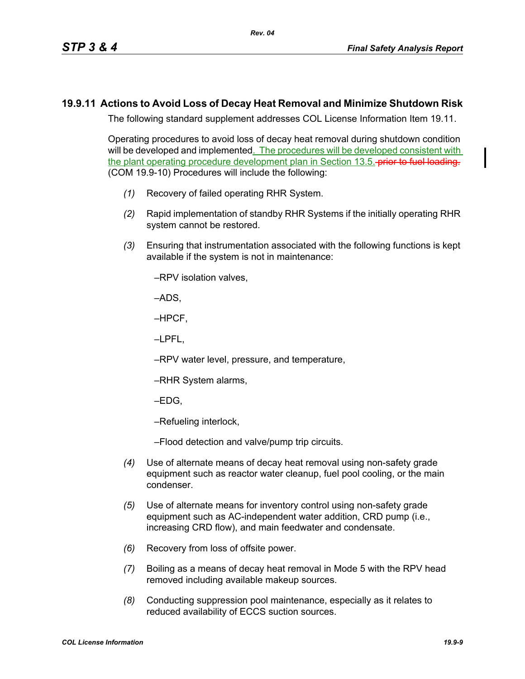#### **19.9.11 Actions to Avoid Loss of Decay Heat Removal and Minimize Shutdown Risk**

The following standard supplement addresses COL License Information Item 19.11.

Operating procedures to avoid loss of decay heat removal during shutdown condition will be developed and implemented. The procedures will be developed consistent with the plant operating procedure development plan in Section 13.5. **prior to fuel loading.** (COM 19.9-10) Procedures will include the following:

- *(1)* Recovery of failed operating RHR System.
- *(2)* Rapid implementation of standby RHR Systems if the initially operating RHR system cannot be restored.
- *(3)* Ensuring that instrumentation associated with the following functions is kept available if the system is not in maintenance:

–RPV isolation valves,

–ADS,

–HPCF,

–LPFL,

–RPV water level, pressure, and temperature,

- –RHR System alarms,
- –EDG,

–Refueling interlock,

–Flood detection and valve/pump trip circuits.

- *(4)* Use of alternate means of decay heat removal using non-safety grade equipment such as reactor water cleanup, fuel pool cooling, or the main condenser.
- *(5)* Use of alternate means for inventory control using non-safety grade equipment such as AC-independent water addition, CRD pump (i.e., increasing CRD flow), and main feedwater and condensate.
- *(6)* Recovery from loss of offsite power.
- *(7)* Boiling as a means of decay heat removal in Mode 5 with the RPV head removed including available makeup sources.
- *(8)* Conducting suppression pool maintenance, especially as it relates to reduced availability of ECCS suction sources.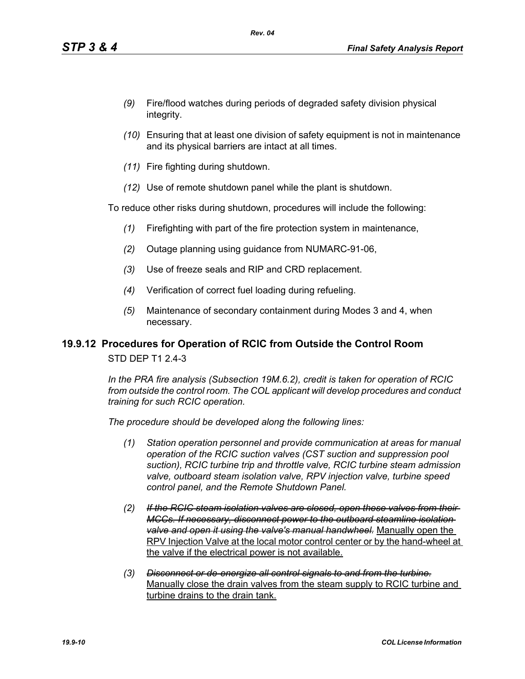- *(9)* Fire/flood watches during periods of degraded safety division physical integrity.
- *(10)* Ensuring that at least one division of safety equipment is not in maintenance and its physical barriers are intact at all times.
- *(11)* Fire fighting during shutdown.
- *(12)* Use of remote shutdown panel while the plant is shutdown.

To reduce other risks during shutdown, procedures will include the following:

- *(1)* Firefighting with part of the fire protection system in maintenance,
- *(2)* Outage planning using guidance from NUMARC-91-06,
- *(3)* Use of freeze seals and RIP and CRD replacement.
- *(4)* Verification of correct fuel loading during refueling.
- *(5)* Maintenance of secondary containment during Modes 3 and 4, when necessary.

## **19.9.12 Procedures for Operation of RCIC from Outside the Control Room**

STD DEP T1 2.4-3

*In the PRA fire analysis (Subsection 19M.6.2), credit is taken for operation of RCIC from outside the control room. The COL applicant will develop procedures and conduct training for such RCIC operation.*

*The procedure should be developed along the following lines:*

- *(1) Station operation personnel and provide communication at areas for manual operation of the RCIC suction valves (CST suction and suppression pool suction), RCIC turbine trip and throttle valve, RCIC turbine steam admission valve, outboard steam isolation valve, RPV injection valve, turbine speed control panel, and the Remote Shutdown Panel.*
- *(2) If the RCIC steam isolation valves are closed, open these valves from their MCCs. If necessary, disconnect power to the outboard steamline isolation valve and open it using the valve's manual handwheel.* Manually open the RPV Injection Valve at the local motor control center or by the hand-wheel at the valve if the electrical power is not available.
- *(3) Disconnect or de-energize all control signals to and from the turbine.* Manually close the drain valves from the steam supply to RCIC turbine and turbine drains to the drain tank.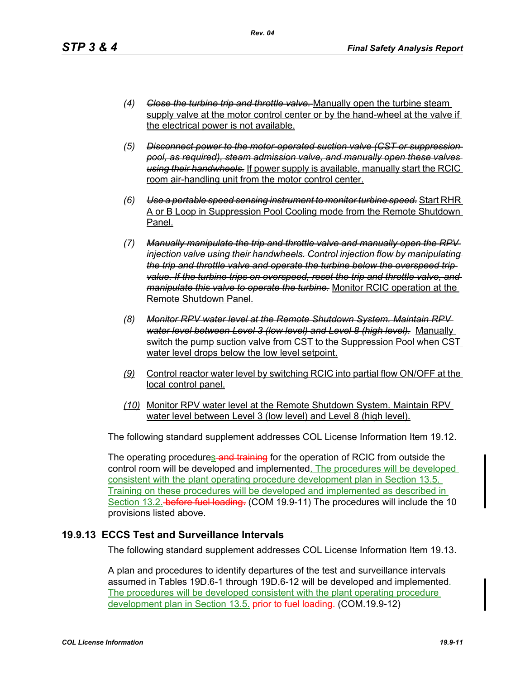- *(4) Close the turbine trip and throttle valve.* Manually open the turbine steam supply valve at the motor control center or by the hand-wheel at the valve if the electrical power is not available.
- *(5) Disconnect power to the motor-operated suction valve (CST or suppression pool, as required), steam admission valve, and manually open these valves using their handwheels.* If power supply is available, manually start the RCIC room air-handling unit from the motor control center.
- *(6) Use a portable speed sensing instrument to monitor turbine speed.* Start RHR A or B Loop in Suppression Pool Cooling mode from the Remote Shutdown Panel.
- *(7) Manually manipulate the trip and throttle valve and manually open the RPV injection valve using their handwheels. Control injection flow by manipulating the trip and throttle valve and operate the turbine below the overspeed trip value. If the turbine trips on overspeed, reset the trip and throttle valve, and manipulate this valve to operate the turbine.* Monitor RCIC operation at the Remote Shutdown Panel.
- *(8) Monitor RPV water level at the Remote Shutdown System. Maintain RPV water level between Level 3 (low level) and Level 8 (high level).* Manually switch the pump suction valve from CST to the Suppression Pool when CST water level drops below the low level setpoint.
- *(9)* Control reactor water level by switching RCIC into partial flow ON/OFF at the local control panel.
- *(10)* Monitor RPV water level at the Remote Shutdown System. Maintain RPV water level between Level 3 (low level) and Level 8 (high level).

The following standard supplement addresses COL License Information Item 19.12.

The operating procedures and training for the operation of RCIC from outside the control room will be developed and implemented. The procedures will be developed consistent with the plant operating procedure development plan in Section 13.5. Training on these procedures will be developed and implemented as described in Section 13.2. before fuel loading. (COM 19.9-11) The procedures will include the 10 provisions listed above.

## **19.9.13 ECCS Test and Surveillance Intervals**

The following standard supplement addresses COL License Information Item 19.13.

A plan and procedures to identify departures of the test and surveillance intervals assumed in Tables 19D.6-1 through 19D.6-12 will be developed and implemented. The procedures will be developed consistent with the plant operating procedure development plan in Section 13.5. prior to fuel loading. (COM.19.9-12)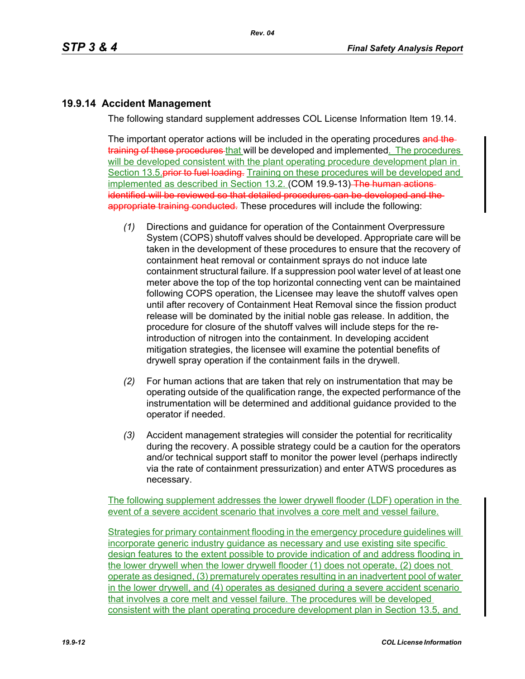# **19.9.14 Accident Management**

The following standard supplement addresses COL License Information Item 19.14.

The important operator actions will be included in the operating procedures and thetraining of these procedures that will be developed and implemented. The procedures will be developed consistent with the plant operating procedure development plan in Section 13.5 prior to fuel loading. Training on these procedures will be developed and implemented as described in Section 13.2. (COM 19.9-13) The human actions identified will be reviewed so that detailed procedures can be developed and the appropriate training conducted. These procedures will include the following:

- *(1)* Directions and guidance for operation of the Containment Overpressure System (COPS) shutoff valves should be developed. Appropriate care will be taken in the development of these procedures to ensure that the recovery of containment heat removal or containment sprays do not induce late containment structural failure. If a suppression pool water level of at least one meter above the top of the top horizontal connecting vent can be maintained following COPS operation, the Licensee may leave the shutoff valves open until after recovery of Containment Heat Removal since the fission product release will be dominated by the initial noble gas release. In addition, the procedure for closure of the shutoff valves will include steps for the reintroduction of nitrogen into the containment. In developing accident mitigation strategies, the licensee will examine the potential benefits of drywell spray operation if the containment fails in the drywell.
- *(2)* For human actions that are taken that rely on instrumentation that may be operating outside of the qualification range, the expected performance of the instrumentation will be determined and additional guidance provided to the operator if needed.
- *(3)* Accident management strategies will consider the potential for recriticality during the recovery. A possible strategy could be a caution for the operators and/or technical support staff to monitor the power level (perhaps indirectly via the rate of containment pressurization) and enter ATWS procedures as necessary.

The following supplement addresses the lower drywell flooder (LDF) operation in the event of a severe accident scenario that involves a core melt and vessel failure.

Strategies for primary containment flooding in the emergency procedure guidelines will incorporate generic industry guidance as necessary and use existing site specific design features to the extent possible to provide indication of and address flooding in the lower drywell when the lower drywell flooder (1) does not operate, (2) does not operate as designed, (3) prematurely operates resulting in an inadvertent pool of water in the lower drywell, and (4) operates as designed during a severe accident scenario that involves a core melt and vessel failure. The procedures will be developed consistent with the plant operating procedure development plan in Section 13.5, and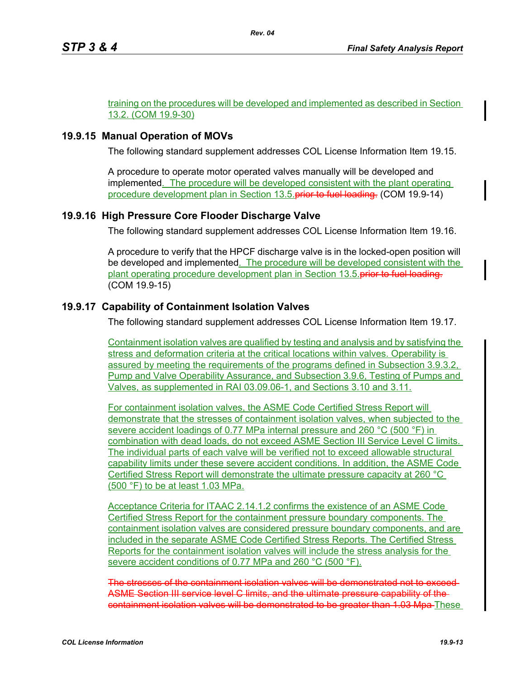training on the procedures will be developed and implemented as described in Section 13.2. (COM 19.9-30)

## **19.9.15 Manual Operation of MOVs**

The following standard supplement addresses COL License Information Item 19.15.

A procedure to operate motor operated valves manually will be developed and implemented. The procedure will be developed consistent with the plant operating procedure development plan in Section 13.5. prior to fuel loading. (COM 19.9-14)

## **19.9.16 High Pressure Core Flooder Discharge Valve**

The following standard supplement addresses COL License Information Item 19.16.

A procedure to verify that the HPCF discharge valve is in the locked-open position will be developed and implemented. The procedure will be developed consistent with the plant operating procedure development plan in Section 13.5. prior to fuel loading. (COM 19.9-15)

## **19.9.17 Capability of Containment Isolation Valves**

The following standard supplement addresses COL License Information Item 19.17.

Containment isolation valves are qualified by testing and analysis and by satisfying the stress and deformation criteria at the critical locations within valves. Operability is assured by meeting the requirements of the programs defined in Subsection 3.9.3.2, Pump and Valve Operability Assurance, and Subsection 3.9.6, Testing of Pumps and Valves, as supplemented in RAI 03.09.06-1, and Sections 3.10 and 3.11.

For containment isolation valves, the ASME Code Certified Stress Report will demonstrate that the stresses of containment isolation valves, when subjected to the severe accident loadings of 0.77 MPa internal pressure and 260 °C (500 °F) in combination with dead loads, do not exceed ASME Section III Service Level C limits. The individual parts of each valve will be verified not to exceed allowable structural capability limits under these severe accident conditions. In addition, the ASME Code Certified Stress Report will demonstrate the ultimate pressure capacity at 260 °C (500 °F) to be at least 1.03 MPa.

Acceptance Criteria for ITAAC 2.14.1.2 confirms the existence of an ASME Code Certified Stress Report for the containment pressure boundary components. The containment isolation valves are considered pressure boundary components, and are included in the separate ASME Code Certified Stress Reports. The Certified Stress Reports for the containment isolation valves will include the stress analysis for the severe accident conditions of 0.77 MPa and 260 °C (500 °F).

The stresses of the containment isolation valves will be demonstrated not to exceed ASME Section III service level C limits, and the ultimate pressure capability of the containment isolation valves will be demonstrated to be greater than 1.03 Mpa These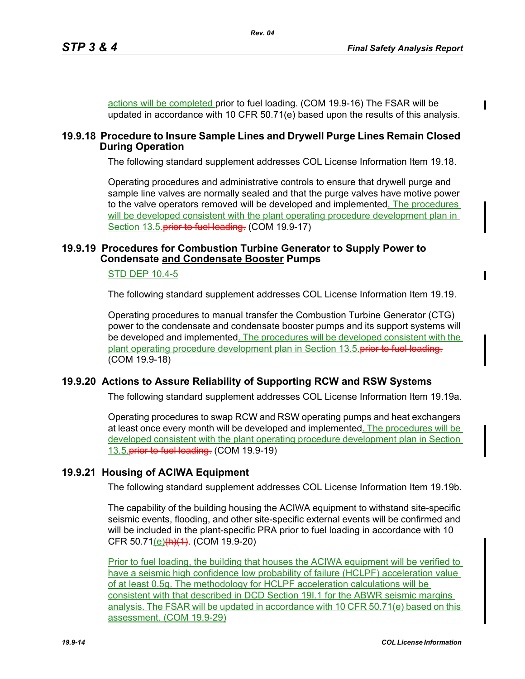actions will be completed prior to fuel loading. (COM 19.9-16) The FSAR will be updated in accordance with 10 CFR 50.71(e) based upon the results of this analysis.

#### **19.9.18 Procedure to Insure Sample Lines and Drywell Purge Lines Remain Closed During Operation**

*Rev. 04*

The following standard supplement addresses COL License Information Item 19.18.

Operating procedures and administrative controls to ensure that drywell purge and sample line valves are normally sealed and that the purge valves have motive power to the valve operators removed will be developed and implemented. The procedures will be developed consistent with the plant operating procedure development plan in Section 13.5. prior to fuel loading. (COM 19.9-17)

#### **19.9.19 Procedures for Combustion Turbine Generator to Supply Power to Condensate and Condensate Booster Pumps**

#### STD DEP 10.4-5

The following standard supplement addresses COL License Information Item 19.19.

Operating procedures to manual transfer the Combustion Turbine Generator (CTG) power to the condensate and condensate booster pumps and its support systems will be developed and implemented. The procedures will be developed consistent with the plant operating procedure development plan in Section 13.5. prior to fuel loading. (COM 19.9-18)

#### **19.9.20 Actions to Assure Reliability of Supporting RCW and RSW Systems**

The following standard supplement addresses COL License Information Item 19.19a.

Operating procedures to swap RCW and RSW operating pumps and heat exchangers at least once every month will be developed and implemented. The procedures will be developed consistent with the plant operating procedure development plan in Section 13.5. prior to fuel loading. (COM 19.9-19)

#### **19.9.21 Housing of ACIWA Equipment**

The following standard supplement addresses COL License Information Item 19.19b.

The capability of the building housing the ACIWA equipment to withstand site-specific seismic events, flooding, and other site-specific external events will be confirmed and will be included in the plant-specific PRA prior to fuel loading in accordance with 10 CFR 50.71(e)(h)(1). (COM 19.9-20)

Prior to fuel loading, the building that houses the ACIWA equipment will be verified to have a seismic high confidence low probability of failure (HCLPF) acceleration value of at least 0.5g. The methodology for HCLPF acceleration calculations will be consistent with that described in DCD Section 19I.1 for the ABWR seismic margins analysis. The FSAR will be updated in accordance with 10 CFR 50.71(e) based on this assessment. (COM 19.9-29)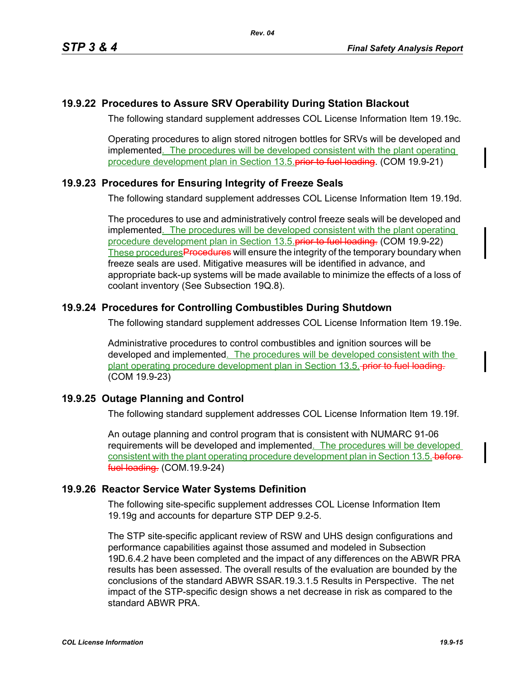## **19.9.22 Procedures to Assure SRV Operability During Station Blackout**

The following standard supplement addresses COL License Information Item 19.19c.

Operating procedures to align stored nitrogen bottles for SRVs will be developed and implemented. The procedures will be developed consistent with the plant operating procedure development plan in Section 13.5. **prior to fuel loading.** (COM 19.9-21)

## **19.9.23 Procedures for Ensuring Integrity of Freeze Seals**

The following standard supplement addresses COL License Information Item 19.19d.

The procedures to use and administratively control freeze seals will be developed and implemented. The procedures will be developed consistent with the plant operating procedure development plan in Section 13.5. **prior to fuel loading.** (COM 19.9-22) These procedures Procedures will ensure the integrity of the temporary boundary when freeze seals are used. Mitigative measures will be identified in advance, and appropriate back-up systems will be made available to minimize the effects of a loss of coolant inventory (See Subsection 19Q.8).

## **19.9.24 Procedures for Controlling Combustibles During Shutdown**

The following standard supplement addresses COL License Information Item 19.19e.

Administrative procedures to control combustibles and ignition sources will be developed and implemented. The procedures will be developed consistent with the plant operating procedure development plan in Section 13.5. prior to fuel loading. (COM 19.9-23)

## **19.9.25 Outage Planning and Control**

The following standard supplement addresses COL License Information Item 19.19f.

An outage planning and control program that is consistent with NUMARC 91-06 requirements will be developed and implemented. The procedures will be developed consistent with the plant operating procedure development plan in Section 13.5. beforefuel loading. (COM.19.9-24)

## **19.9.26 Reactor Service Water Systems Definition**

The following site-specific supplement addresses COL License Information Item 19.19g and accounts for departure STP DEP 9.2-5.

The STP site-specific applicant review of RSW and UHS design configurations and performance capabilities against those assumed and modeled in Subsection 19D.6.4.2 have been completed and the impact of any differences on the ABWR PRA results has been assessed. The overall results of the evaluation are bounded by the conclusions of the standard ABWR SSAR.19.3.1.5 Results in Perspective. The net impact of the STP-specific design shows a net decrease in risk as compared to the standard ABWR PRA.